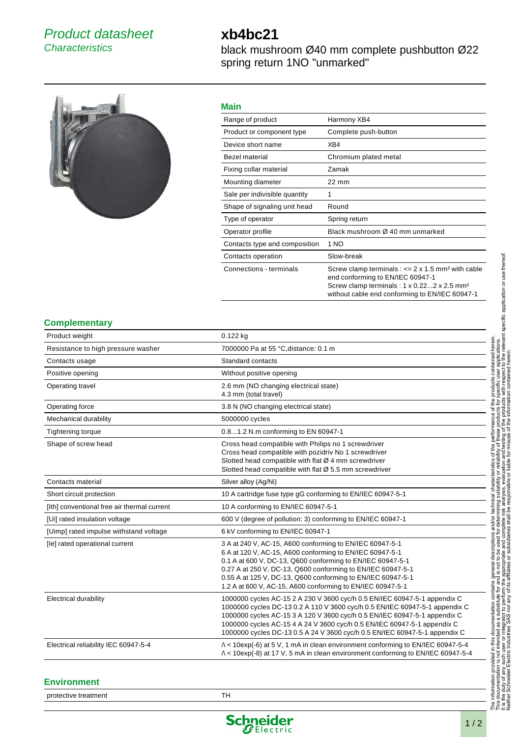## Product datasheet **Characteristics**

# **xb4bc21**

black mushroom Ø40 mm complete pushbutton Ø22 spring return 1NO "unmarked"



#### **Main**

| шенн                          |                                                                                                                                                                                                                               |
|-------------------------------|-------------------------------------------------------------------------------------------------------------------------------------------------------------------------------------------------------------------------------|
| Range of product              | Harmony XB4                                                                                                                                                                                                                   |
| Product or component type     | Complete push-button                                                                                                                                                                                                          |
| Device short name             | XB4                                                                                                                                                                                                                           |
| <b>Bezel material</b>         | Chromium plated metal                                                                                                                                                                                                         |
| Fixing collar material        | Zamak                                                                                                                                                                                                                         |
| Mounting diameter             | 22 mm                                                                                                                                                                                                                         |
| Sale per indivisible quantity | 1                                                                                                                                                                                                                             |
| Shape of signaling unit head  | Round                                                                                                                                                                                                                         |
| Type of operator              | Spring return                                                                                                                                                                                                                 |
| Operator profile              | Black mushroom Ø 40 mm unmarked                                                                                                                                                                                               |
| Contacts type and composition | 1 NO                                                                                                                                                                                                                          |
| Contacts operation            | Slow-break                                                                                                                                                                                                                    |
| Connections - terminals       | Screw clamp terminals : $\leq$ 2 x 1.5 mm <sup>2</sup> with cable<br>end conforming to EN/IEC 60947-1<br>Screw clamp terminals: $1 \times 0.222 \times 2.5$ mm <sup>2</sup><br>without cable end conforming to EN/IEC 60947-1 |

## **Complementary**

| Product weight                            | 0.122 kg                                                                                                                                                                                                                                                                                                                                                                                        |
|-------------------------------------------|-------------------------------------------------------------------------------------------------------------------------------------------------------------------------------------------------------------------------------------------------------------------------------------------------------------------------------------------------------------------------------------------------|
| Resistance to high pressure washer        | 7000000 Pa at 55 °C, distance: 0.1 m                                                                                                                                                                                                                                                                                                                                                            |
| Contacts usage                            | Standard contacts                                                                                                                                                                                                                                                                                                                                                                               |
| Positive opening                          | Without positive opening                                                                                                                                                                                                                                                                                                                                                                        |
| Operating travel                          | 2.6 mm (NO changing electrical state)<br>4.3 mm (total travel)                                                                                                                                                                                                                                                                                                                                  |
| Operating force                           | 3.8 N (NO changing electrical state)                                                                                                                                                                                                                                                                                                                                                            |
| Mechanical durability                     | 5000000 cycles                                                                                                                                                                                                                                                                                                                                                                                  |
| <b>Tightening torque</b>                  | 0.81.2 N.m conforming to EN 60947-1                                                                                                                                                                                                                                                                                                                                                             |
| Shape of screw head                       | Cross head compatible with Philips no 1 screwdriver<br>Cross head compatible with pozidriv No 1 screwdriver<br>Slotted head compatible with flat Ø 4 mm screwdriver<br>Slotted head compatible with flat $\varnothing$ 5.5 mm screwdriver                                                                                                                                                       |
| Contacts material                         | Silver alloy (Ag/Ni)                                                                                                                                                                                                                                                                                                                                                                            |
| Short circuit protection                  | 10 A cartridge fuse type gG conforming to EN/IEC 60947-5-1                                                                                                                                                                                                                                                                                                                                      |
| Ith conventional free air thermal current | 10 A conforming to EN/IEC 60947-5-1                                                                                                                                                                                                                                                                                                                                                             |
| [Ui] rated insulation voltage             | 600 V (degree of pollution: 3) conforming to EN/IEC 60947-1                                                                                                                                                                                                                                                                                                                                     |
| [Uimp] rated impulse withstand voltage    | 6 kV conforming to EN/IEC 60947-1                                                                                                                                                                                                                                                                                                                                                               |
| [le] rated operational current            | 3 A at 240 V, AC-15, A600 conforming to EN/IEC 60947-5-1<br>6 A at 120 V, AC-15, A600 conforming to EN/IEC 60947-5-1<br>0.1 A at 600 V, DC-13, Q600 conforming to EN/IEC 60947-5-1<br>0.27 A at 250 V, DC-13, Q600 conforming to EN/IEC 60947-5-1<br>0.55 A at 125 V, DC-13, Q600 conforming to EN/IEC 60947-5-1<br>1.2 A at 600 V, AC-15, A600 conforming to EN/IEC 60947-5-1                  |
| <b>Electrical durability</b>              | 1000000 cycles AC-15 2 A 230 V 3600 cyc/h 0.5 EN/IEC 60947-5-1 appendix C<br>1000000 cycles DC-13 0.2 A 110 V 3600 cyc/h 0.5 EN/IEC 60947-5-1 appendix C<br>1000000 cycles AC-15 3 A 120 V 3600 cyc/h 0.5 EN/IEC 60947-5-1 appendix C<br>1000000 cycles AC-15 4 A 24 V 3600 cyc/h 0.5 EN/IEC 60947-5-1 appendix C<br>1000000 cycles DC-13 0.5 A 24 V 3600 cyc/h 0.5 EN/IEC 60947-5-1 appendix C |
| Electrical reliability IEC 60947-5-4      | $\Lambda$ < 10exp(-6) at 5 V, 1 mA in clean environment conforming to EN/IEC 60947-5-4<br>$\Lambda$ < 10exp(-8) at 17 V, 5 mA in clean environment conforming to EN/IEC 60947-5-4                                                                                                                                                                                                               |

#### **Environment**

protective treatment TH



 $1/2$